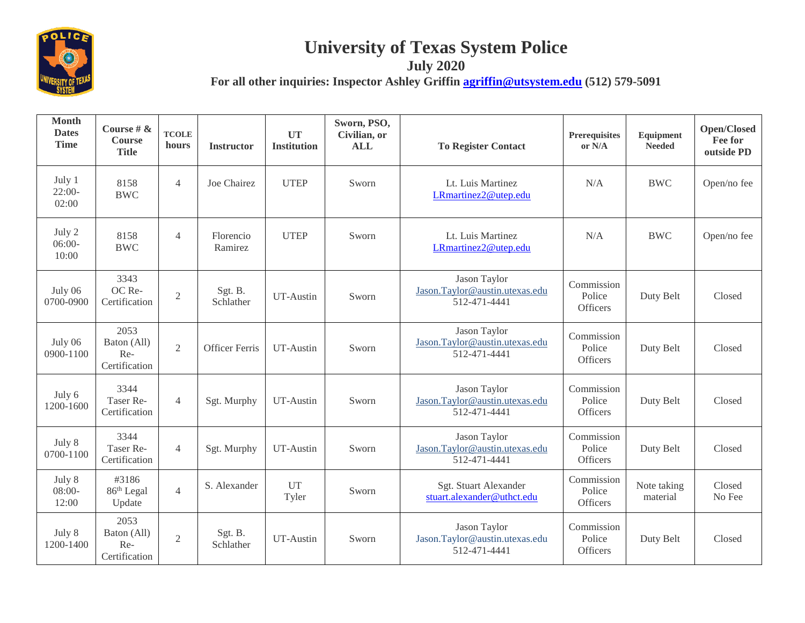

## **University of Texas System Police**

**Month Dates Time Course # & Course Title TCOLE hours Instructor UT Institution Sworn, PSO, Civilian, or ALL To Register Contact Prerequisites or N/A Equipment Needed Open/Closed Fee for outside PD** July 1 22:00- 02:00 8158 BWC 4 Joe Chairez UTEP Sworn Lt. Luis Martinez [LRmartinez2@utep.edu](mailto:LRmartinez2@utep.edu) N/A BWC Open/no fee July 2 06:00- 10:00 8158 BWC 4 Florencio Ramirez UTEP Sworn Lt. Luis Martinez [LRmartinez2@utep.edu](mailto:LRmartinez2@utep.edu) N/A BWC Open/no fee July 06 0700-0900 3343 OC Re-OC Re-<br>Certification 2 Sgt. B.<br>Schlather UT-Austin Sworn Jason Taylor [Jason.Taylor@austin.utexas.edu](mailto:Jason.Taylor@austin.utexas.edu) 512-471-4441 Commission Police **Officers** Duty Belt Closed July 06 0900-1100 2053 Baton (All) Re-**Certification** 2 Officer Ferris UT-Austin Sworn Jason Taylor [Jason.Taylor@austin.utexas.edu](mailto:Jason.Taylor@austin.utexas.edu) 512-471-4441 Commission Police **Officers** Duty Belt Closed July 6 1200-1600 3344 Taser Re-**Certification** 4 Sgt. Murphy UT-Austin Sworn Jason Taylor Jason.Taylor@austin.utexas.edu 512-471-4441 Commission Police **Officers** Duty Belt Closed July 8 0700-1100 3344 Taser Re-**Certification** 4 Sgt. Murphy UT-Austin Sworn Jason Taylor Jason.Taylor@austin.utexas.edu 512-471-4441 Commission Police **Officers** Duty Belt Closed July 8 08:00- 12:00 #3186 86th Legal Update 4 S. Alexander UT<br>Tyler UT Sworn Sgt. Stuart Alexander<br>
Tyler Sworn Stuart.alexander@uthct.edu Commission Police **Officers** Note taking material Closed No Fee July 8 1200-1400 2053 Baton (All) Re-Certification 2 Sgt. B.<br>Schlather UT-Austin Sworn Jason Taylor Jason.Taylor@austin.utexas.edu 512-471-4441 Commission Police **Officers** Duty Belt Closed

**July 2020**

For all other inquiries: Inspector Ashley Griffin **agriffin** @utsystem.edu (512) 579-5091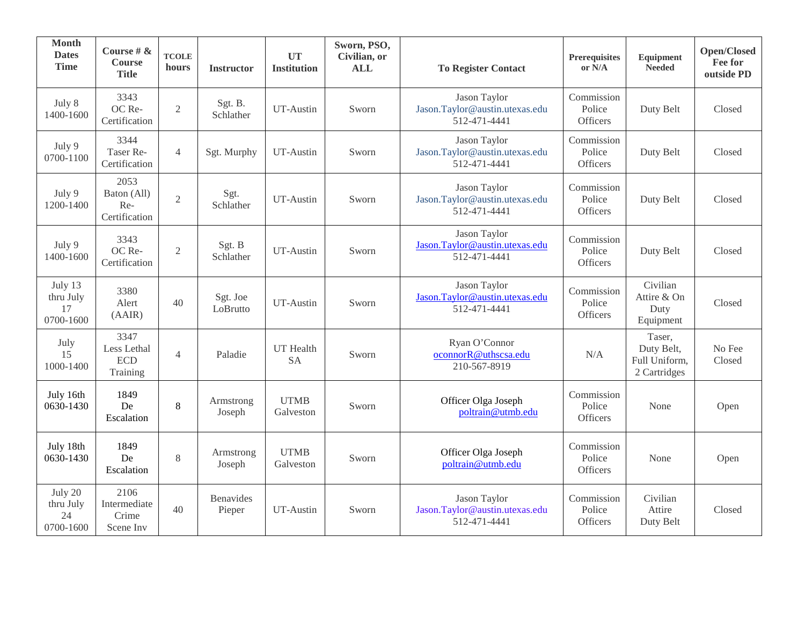| <b>Month</b><br><b>Dates</b><br><b>Time</b> | Course # $\&$<br>Course<br><b>Title</b>       | <b>TCOLE</b><br>hours | <b>Instructor</b>          | <b>UT</b><br><b>Institution</b> | Sworn, PSO,<br>Civilian, or<br><b>ALL</b> | <b>To Register Contact</b>                                     | <b>Prerequisites</b><br>or N/A   | Equipment<br><b>Needed</b>                            | Open/Closed<br>Fee for<br>outside PD |
|---------------------------------------------|-----------------------------------------------|-----------------------|----------------------------|---------------------------------|-------------------------------------------|----------------------------------------------------------------|----------------------------------|-------------------------------------------------------|--------------------------------------|
| July 8<br>1400-1600                         | 3343<br>OC Re-<br>Certification               | $\mathfrak{2}$        | Sgt. B.<br>Schlather       | UT-Austin                       | Sworn                                     | Jason Taylor<br>Jason.Taylor@austin.utexas.edu<br>512-471-4441 | Commission<br>Police<br>Officers | Duty Belt                                             | Closed                               |
| July 9<br>0700-1100                         | 3344<br>Taser Re-<br>Certification            | $\overline{4}$        | Sgt. Murphy                | UT-Austin                       | Sworn                                     | Jason Taylor<br>Jason.Taylor@austin.utexas.edu<br>512-471-4441 | Commission<br>Police<br>Officers | Duty Belt                                             | Closed                               |
| July 9<br>1200-1400                         | 2053<br>Baton (All)<br>Re-<br>Certification   | $\mathbf{2}$          | Sgt.<br>Schlather          | UT-Austin                       | Sworn                                     | Jason Taylor<br>Jason.Taylor@austin.utexas.edu<br>512-471-4441 | Commission<br>Police<br>Officers | Duty Belt                                             | Closed                               |
| July 9<br>1400-1600                         | 3343<br>OC Re-<br>Certification               | $\mathbf{2}$          | Sgt. B<br>Schlather        | UT-Austin                       | Sworn                                     | Jason Taylor<br>Jason.Taylor@austin.utexas.edu<br>512-471-4441 | Commission<br>Police<br>Officers | Duty Belt                                             | Closed                               |
| July 13<br>thru July<br>17<br>0700-1600     | 3380<br>Alert<br>(AAIR)                       | 40                    | Sgt. Joe<br>LoBrutto       | UT-Austin                       | Sworn                                     | Jason Taylor<br>Jason.Taylor@austin.utexas.edu<br>512-471-4441 | Commission<br>Police<br>Officers | Civilian<br>Attire & On<br>Duty<br>Equipment          | Closed                               |
| July<br>15<br>1000-1400                     | 3347<br>Less Lethal<br><b>ECD</b><br>Training | $\overline{4}$        | Paladie                    | UT Health<br><b>SA</b>          | Sworn                                     | Ryan O'Connor<br>oconnorR@uthscsa.edu<br>210-567-8919          | N/A                              | Taser,<br>Duty Belt,<br>Full Uniform,<br>2 Cartridges | No Fee<br>Closed                     |
| July 16th<br>0630-1430                      | 1849<br>De<br>Escalation                      | $8\,$                 | Armstrong<br>Joseph        | <b>UTMB</b><br>Galveston        | Sworn                                     | Officer Olga Joseph<br>poltrain@utmb.edu                       | Commission<br>Police<br>Officers | None                                                  | Open                                 |
| July 18th<br>0630-1430                      | 1849<br>De<br>Escalation                      | 8                     | Armstrong<br>Joseph        | <b>UTMB</b><br>Galveston        | Sworn                                     | Officer Olga Joseph<br>poltrain@utmb.edu                       | Commission<br>Police<br>Officers | None                                                  | Open                                 |
| July 20<br>thru July<br>24<br>0700-1600     | 2106<br>Intermediate<br>Crime<br>Scene Inv    | 40                    | <b>Benavides</b><br>Pieper | UT-Austin                       | Sworn                                     | Jason Taylor<br>Jason.Taylor@austin.utexas.edu<br>512-471-4441 | Commission<br>Police<br>Officers | Civilian<br>Attire<br>Duty Belt                       | Closed                               |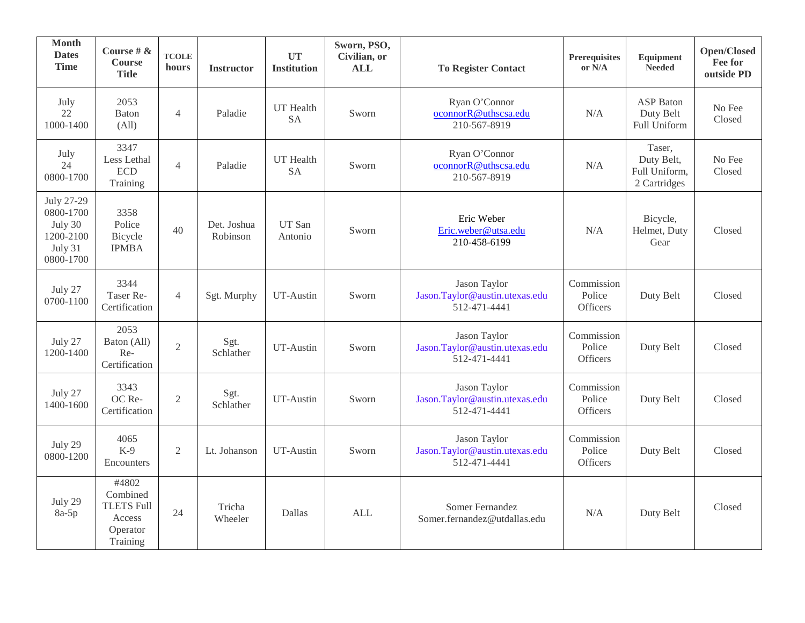| <b>Month</b><br><b>Dates</b><br><b>Time</b>                             | Course # $\&$<br><b>Course</b><br><b>Title</b>                           | <b>TCOLE</b><br>hours | <b>Instructor</b>       | <b>UT</b><br><b>Institution</b> | Sworn, PSO,<br>Civilian, or<br><b>ALL</b> | <b>To Register Contact</b>                                     | <b>Prerequisites</b><br>or N/A   | <b>Equipment</b><br><b>Needed</b>                     | Open/Closed<br>Fee for<br>outside PD |
|-------------------------------------------------------------------------|--------------------------------------------------------------------------|-----------------------|-------------------------|---------------------------------|-------------------------------------------|----------------------------------------------------------------|----------------------------------|-------------------------------------------------------|--------------------------------------|
| July<br>22<br>1000-1400                                                 | 2053<br><b>Baton</b><br>(All)                                            | $\overline{4}$        | Paladie                 | UT Health<br><b>SA</b>          | Sworn                                     | Ryan O'Connor<br>oconnorR@uthscsa.edu<br>210-567-8919          | N/A                              | <b>ASP</b> Baton<br>Duty Belt<br>Full Uniform         | No Fee<br>Closed                     |
| July<br>24<br>0800-1700                                                 | 3347<br>Less Lethal<br><b>ECD</b><br>Training                            | $\overline{4}$        | Paladie                 | UT Health<br><b>SA</b>          | Sworn                                     | Ryan O'Connor<br>oconnorR@uthscsa.edu<br>210-567-8919          | N/A                              | Taser,<br>Duty Belt,<br>Full Uniform,<br>2 Cartridges | No Fee<br>Closed                     |
| July 27-29<br>0800-1700<br>July 30<br>1200-2100<br>July 31<br>0800-1700 | 3358<br>Police<br>Bicycle<br><b>IPMBA</b>                                | 40                    | Det. Joshua<br>Robinson | UT San<br>Antonio               | Sworn                                     | Eric Weber<br>Eric.weber@utsa.edu<br>210-458-6199              | N/A                              | Bicycle,<br>Helmet, Duty<br>Gear                      | Closed                               |
| July 27<br>0700-1100                                                    | 3344<br>Taser Re-<br>Certification                                       | $\overline{4}$        | Sgt. Murphy             | UT-Austin                       | Sworn                                     | Jason Taylor<br>Jason.Taylor@austin.utexas.edu<br>512-471-4441 | Commission<br>Police<br>Officers | Duty Belt                                             | Closed                               |
| July 27<br>1200-1400                                                    | 2053<br>Baton (All)<br>Re-<br>Certification                              | $\overline{2}$        | Sgt.<br>Schlather       | UT-Austin                       | Sworn                                     | Jason Taylor<br>Jason.Taylor@austin.utexas.edu<br>512-471-4441 | Commission<br>Police<br>Officers | Duty Belt                                             | Closed                               |
| July 27<br>1400-1600                                                    | 3343<br>OC Re-<br>Certification                                          | $\overline{2}$        | Sgt.<br>Schlather       | UT-Austin                       | Sworn                                     | Jason Taylor<br>Jason.Taylor@austin.utexas.edu<br>512-471-4441 | Commission<br>Police<br>Officers | Duty Belt                                             | Closed                               |
| July 29<br>0800-1200                                                    | 4065<br>$K-9$<br>Encounters                                              | 2                     | Lt. Johanson            | UT-Austin                       | Sworn                                     | Jason Taylor<br>Jason.Taylor@austin.utexas.edu<br>512-471-4441 | Commission<br>Police<br>Officers | Duty Belt                                             | Closed                               |
| July 29<br>8a-5p                                                        | #4802<br>Combined<br><b>TLETS Full</b><br>Access<br>Operator<br>Training | 24                    | Tricha<br>Wheeler       | Dallas                          | <b>ALL</b>                                | Somer Fernandez<br>Somer.fernandez@utdallas.edu                | N/A                              | Duty Belt                                             | Closed                               |